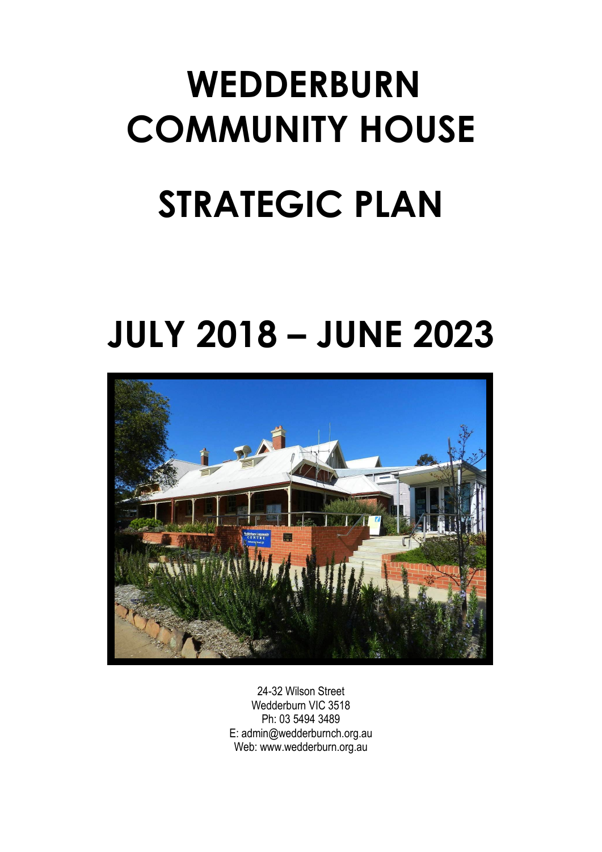# **WEDDERBURN COMMUNITY HOUSE STRATEGIC PLAN**

# **JULY 2018 – JUNE 2023**



24-32 Wilson Street Wedderburn VIC 3518 Ph: 03 5494 3489 E: admin@wedderburnch.org.au Web: www.wedderburn.org.au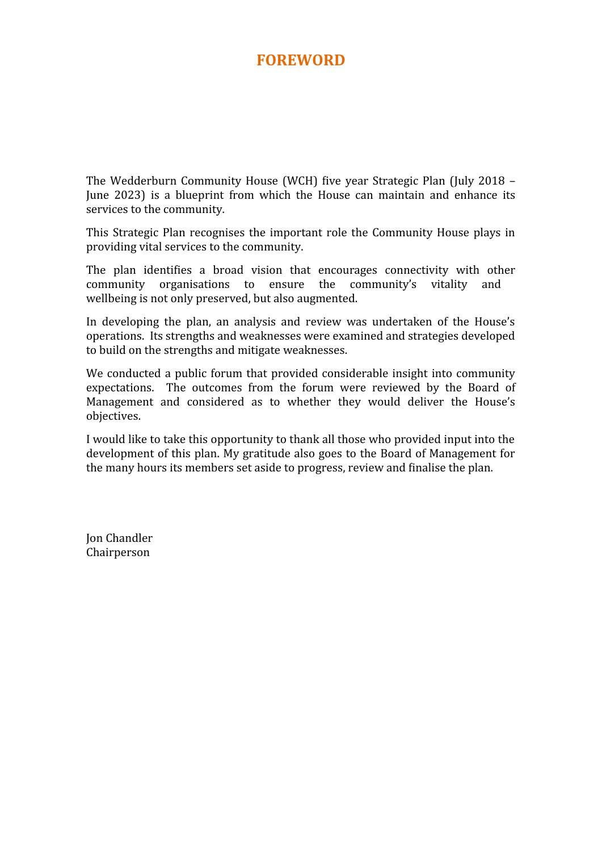#### **FOREWORD**

The Wedderburn Community House (WCH) five year Strategic Plan (July 2018 – June 2023) is a blueprint from which the House can maintain and enhance its services to the community.

This Strategic Plan recognises the important role the Community House plays in providing vital services to the community.

The plan identifies a broad vision that encourages connectivity with other community organisations to ensure the community's vitality and wellbeing is not only preserved, but also augmented.

In developing the plan, an analysis and review was undertaken of the House's operations. Its strengths and weaknesses were examined and strategies developed to build on the strengths and mitigate weaknesses.

We conducted a public forum that provided considerable insight into community expectations. The outcomes from the forum were reviewed by the Board of Management and considered as to whether they would deliver the House's objectives.

I would like to take this opportunity to thank all those who provided input into the development of this plan. My gratitude also goes to the Board of Management for the many hours its members set aside to progress, review and finalise the plan.

Jon Chandler Chairperson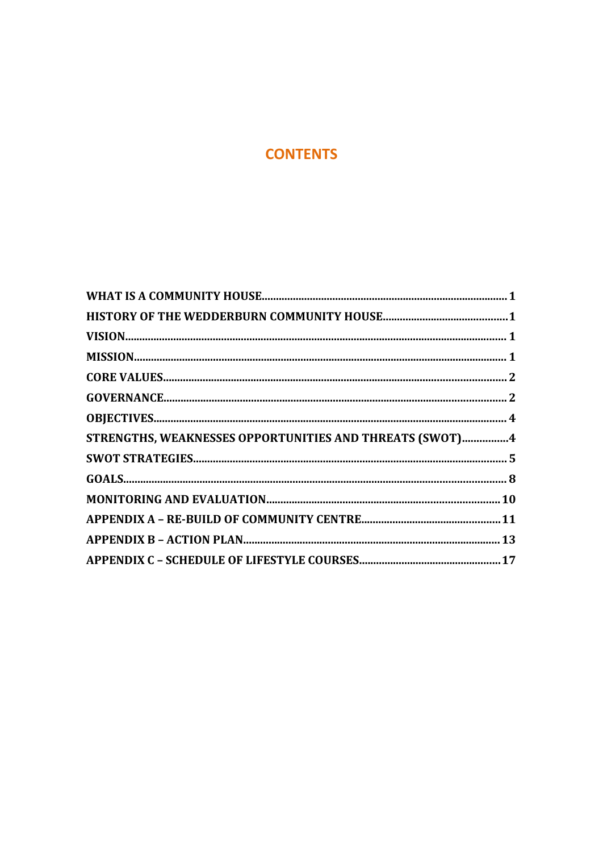#### **CONTENTS**

| STRENGTHS, WEAKNESSES OPPORTUNITIES AND THREATS (SWOT)4 |  |
|---------------------------------------------------------|--|
|                                                         |  |
|                                                         |  |
|                                                         |  |
|                                                         |  |
|                                                         |  |
|                                                         |  |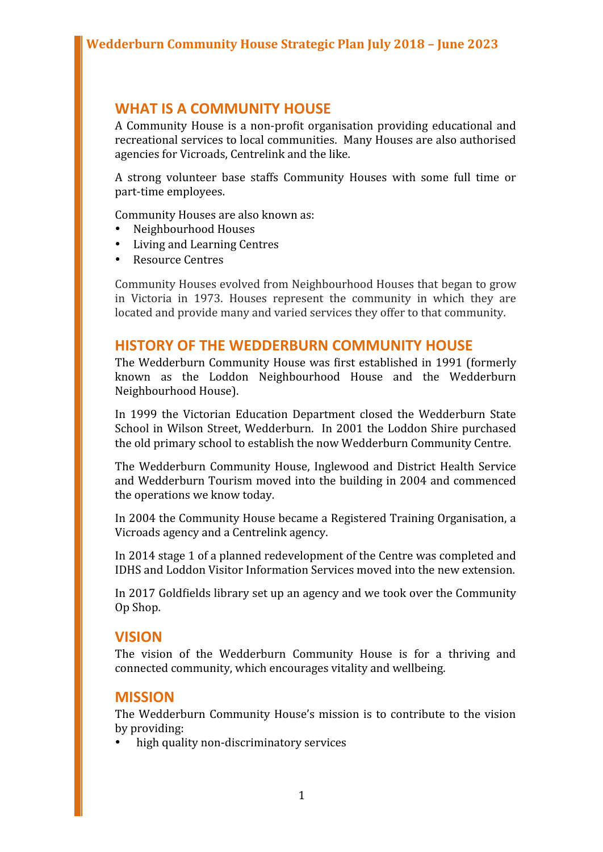#### **WHAT IS A COMMUNITY HOUSE**

A Community House is a non-profit organisation providing educational and recreational services to local communities. Many Houses are also authorised agencies for Vicroads, Centrelink and the like.

A strong volunteer base staffs Community Houses with some full time or part-time employees.

Community Houses are also known as:

- Neighbourhood Houses
- Living and Learning Centres
- Resource Centres

Community Houses evolved from Neighbourhood Houses that began to grow in Victoria in 1973. Houses represent the community in which they are located and provide many and varied services they offer to that community.

#### **HISTORY OF THE WEDDERBURN COMMUNITY HOUSE**

The Wedderburn Community House was first established in 1991 (formerly known as the Loddon Neighbourhood House and the Wedderburn Neighbourhood House).

In 1999 the Victorian Education Department closed the Wedderburn State School in Wilson Street, Wedderburn. In 2001 the Loddon Shire purchased the old primary school to establish the now Wedderburn Community Centre.

The Wedderburn Community House, Inglewood and District Health Service and Wedderburn Tourism moved into the building in 2004 and commenced the operations we know today.

In 2004 the Community House became a Registered Training Organisation, a Vicroads agency and a Centrelink agency.

In 2014 stage 1 of a planned redevelopment of the Centre was completed and IDHS and Loddon Visitor Information Services moved into the new extension.

In 2017 Goldfields library set up an agency and we took over the Community Op Shop.

#### **VISION**

The vision of the Wedderburn Community House is for a thriving and connected community, which encourages vitality and wellbeing.

#### **MISSION**

The Wedderburn Community House's mission is to contribute to the vision by providing:

high quality non-discriminatory services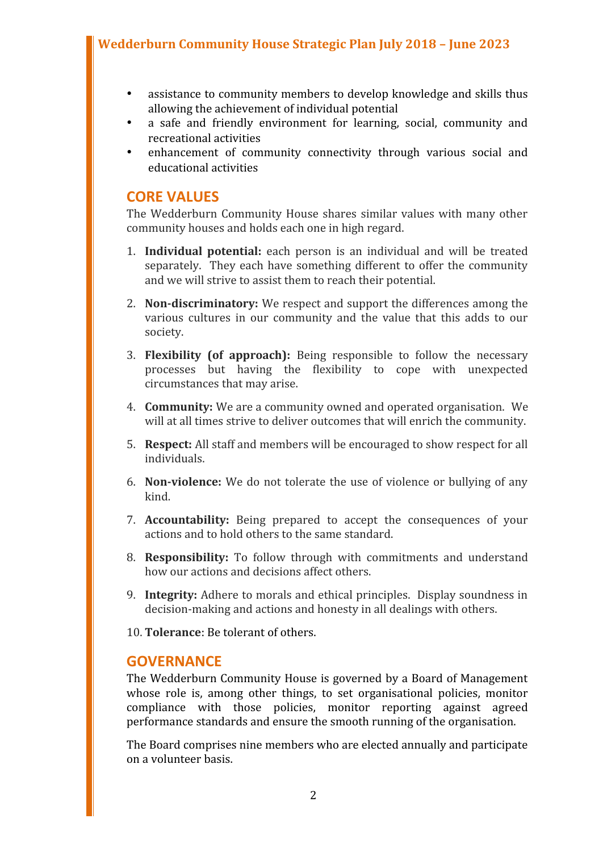- assistance to community members to develop knowledge and skills thus allowing the achievement of individual potential
- a safe and friendly environment for learning, social, community and recreational activities
- enhancement of community connectivity through various social and educational activities

#### **CORE VALUES**

The Wedderburn Community House shares similar values with many other community houses and holds each one in high regard.

- 1. **Individual potential:** each person is an individual and will be treated separately. They each have something different to offer the community and we will strive to assist them to reach their potential.
- 2. **Non-discriminatory:** We respect and support the differences among the various cultures in our community and the value that this adds to our society.
- 3. **Flexibility (of approach):** Being responsible to follow the necessary processes but having the flexibility to cope with unexpected circumstances that may arise.
- 4. **Community:** We are a community owned and operated organisation. We will at all times strive to deliver outcomes that will enrich the community.
- 5. **Respect:** All staff and members will be encouraged to show respect for all individuals.
- 6. **Non-violence:** We do not tolerate the use of violence or bullying of any kind.
- 7. **Accountability:** Being prepared to accept the consequences of your actions and to hold others to the same standard.
- 8. **Responsibility:** To follow through with commitments and understand how our actions and decisions affect others.
- 9. **Integrity:** Adhere to morals and ethical principles. Display soundness in decision-making and actions and honesty in all dealings with others.
- 10. **Tolerance**: Be tolerant of others.

#### **GOVERNANCE**

The Wedderburn Community House is governed by a Board of Management whose role is, among other things, to set organisational policies, monitor compliance with those policies, monitor reporting against agreed performance standards and ensure the smooth running of the organisation.

The Board comprises nine members who are elected annually and participate on a volunteer basis.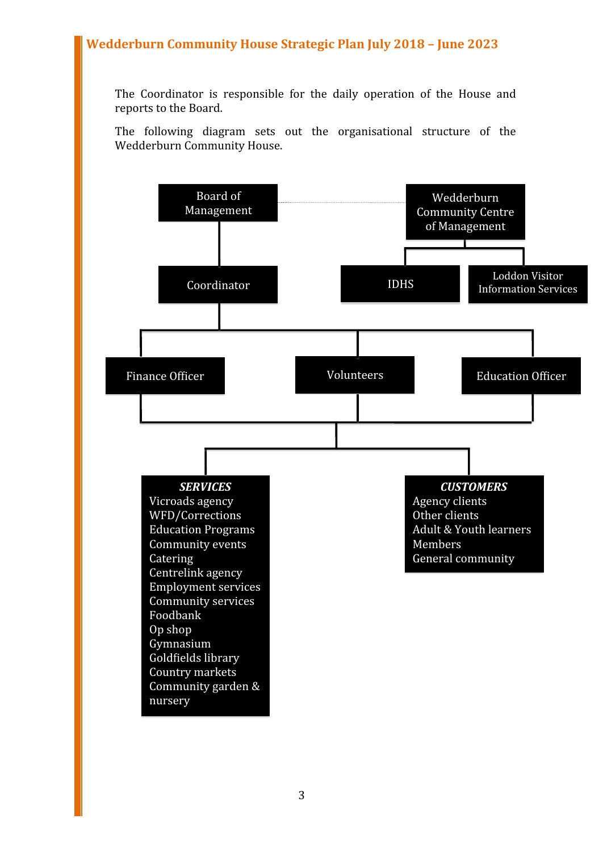The Coordinator is responsible for the daily operation of the House and reports to the Board.

The following diagram sets out the organisational structure of the Wedderburn Community House.

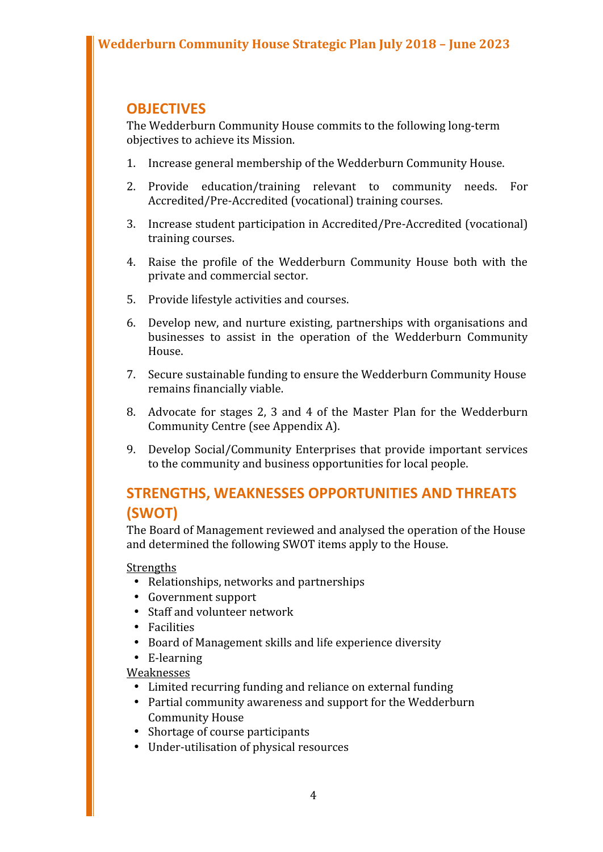#### **OBJECTIVES**

The Wedderburn Community House commits to the following long-term objectives to achieve its Mission.

- 1. Increase general membership of the Wedderburn Community House.
- 2. Provide education/training relevant to community needs. For Accredited/Pre-Accredited (vocational) training courses.
- 3. Increase student participation in Accredited/Pre-Accredited (vocational) training courses.
- 4. Raise the profile of the Wedderburn Community House both with the private and commercial sector.
- 5. Provide lifestyle activities and courses.
- 6. Develop new, and nurture existing, partnerships with organisations and businesses to assist in the operation of the Wedderburn Community House.
- 7. Secure sustainable funding to ensure the Wedderburn Community House remains financially viable.
- 8. Advocate for stages 2, 3 and 4 of the Master Plan for the Wedderburn Community Centre (see Appendix A).
- 9. Develop Social/Community Enterprises that provide important services to the community and business opportunities for local people.

#### **STRENGTHS, WEAKNESSES OPPORTUNITIES AND THREATS (SWOT)**

The Board of Management reviewed and analysed the operation of the House and determined the following SWOT items apply to the House.

#### Strengths

- Relationships, networks and partnerships
- Government support
- Staff and volunteer network
- Facilities
- Board of Management skills and life experience diversity
- E-learning

#### Weaknesses

- Limited recurring funding and reliance on external funding
- Partial community awareness and support for the Wedderburn Community House
- Shortage of course participants
- Under-utilisation of physical resources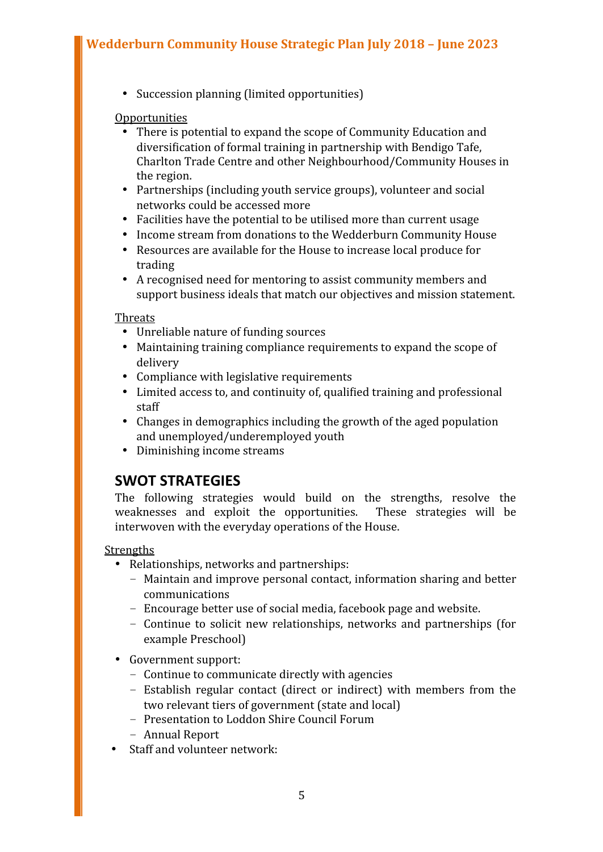Succession planning (limited opportunities)

#### Opportunities

- There is potential to expand the scope of Community Education and diversification of formal training in partnership with Bendigo Tafe, Charlton Trade Centre and other Neighbourhood/Community Houses in the region.
- Partnerships (including youth service groups), volunteer and social networks could be accessed more
- Facilities have the potential to be utilised more than current usage
- Income stream from donations to the Wedderburn Community House
- Resources are available for the House to increase local produce for trading
- A recognised need for mentoring to assist community members and support business ideals that match our objectives and mission statement.

**Threats** 

- Unreliable nature of funding sources
- Maintaining training compliance requirements to expand the scope of delivery
- Compliance with legislative requirements
- Limited access to, and continuity of, qualified training and professional staff
- Changes in demographics including the growth of the aged population and unemployed/underemployed youth
- Diminishing income streams

#### **SWOT STRATEGIES**

The following strategies would build on the strengths, resolve the weaknesses and exploit the opportunities. These strategies will be interwoven with the everyday operations of the House.

**Strengths** 

- Relationships, networks and partnerships:
	- Maintain and improve personal contact, information sharing and better communications
	- Encourage better use of social media, facebook page and website.
	- Continue to solicit new relationships, networks and partnerships (for example Preschool)
- Government support:
	- Continue to communicate directly with agencies
	- Establish regular contact (direct or indirect) with members from the two relevant tiers of government (state and local)
	- Presentation to Loddon Shire Council Forum
	- Annual Report
- Staff and volunteer network: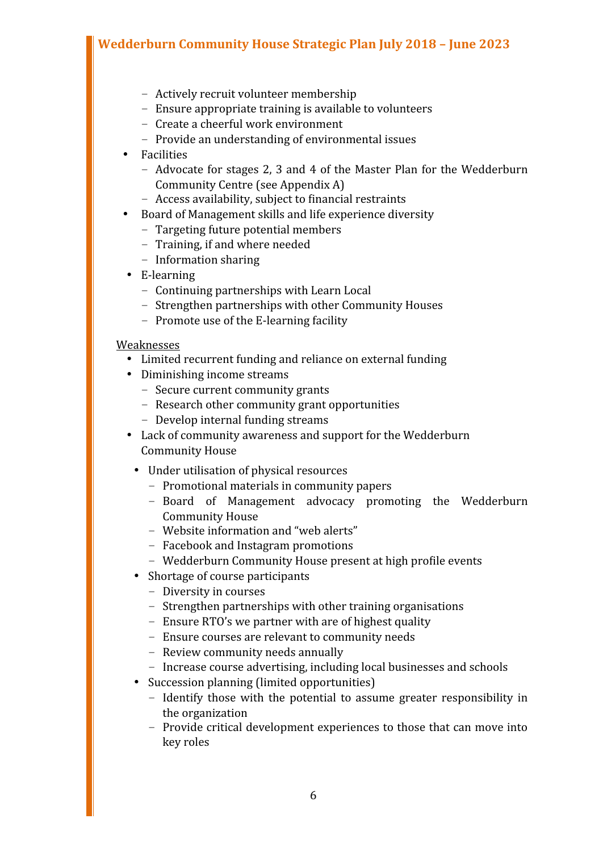- Actively recruit volunteer membership
- Ensure appropriate training is available to volunteers
- Create a cheerful work environment
- Provide an understanding of environmental issues
- Facilities
	- Advocate for stages 2, 3 and 4 of the Master Plan for the Wedderburn Community Centre (see Appendix A)
	- Access availability, subject to financial restraints
- Board of Management skills and life experience diversity
	- Targeting future potential members
	- Training, if and where needed
	- Information sharing
- E-learning
	- Continuing partnerships with Learn Local
	- Strengthen partnerships with other Community Houses
	- Promote use of the E-learning facility

#### Weaknesses

- Limited recurrent funding and reliance on external funding
- Diminishing income streams
	- Secure current community grants
	- Research other community grant opportunities
	- Develop internal funding streams
- Lack of community awareness and support for the Wedderburn Community House
	- Under utilisation of physical resources
		- Promotional materials in community papers
		- Board of Management advocacy promoting the Wedderburn Community House
		- Website information and "web alerts"
		- Facebook and Instagram promotions
		- Wedderburn Community House present at high profile events
	- Shortage of course participants
		- Diversity in courses
		- Strengthen partnerships with other training organisations
		- Ensure RTO's we partner with are of highest quality
		- Ensure courses are relevant to community needs
		- Review community needs annually
		- Increase course advertising, including local businesses and schools
	- Succession planning (limited opportunities)
		- Identify those with the potential to assume greater responsibility in the organization
		- Provide critical development experiences to those that can move into key roles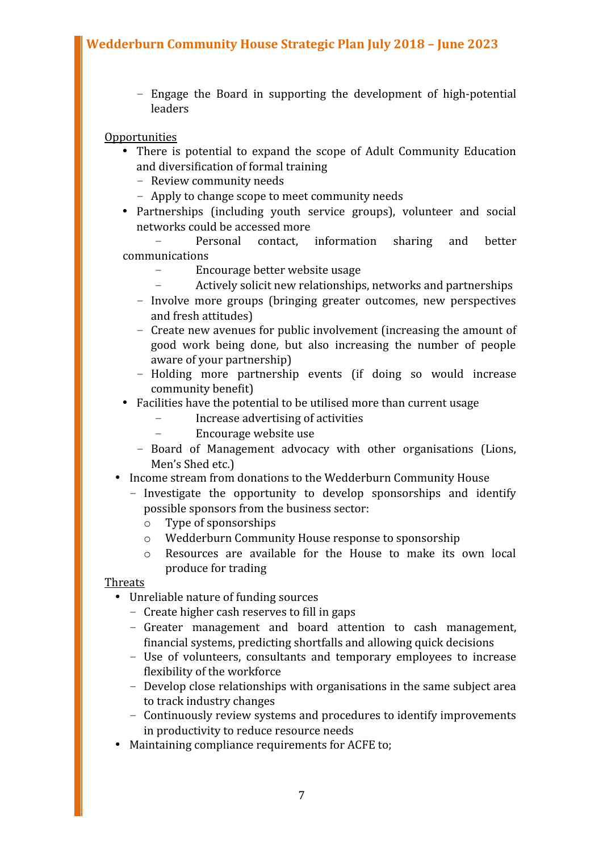– Engage the Board in supporting the development of high-potential leaders

#### Opportunities

- There is potential to expand the scope of Adult Community Education and diversification of formal training
	- Review community needs
	- Apply to change scope to meet community needs
- Partnerships (including youth service groups), volunteer and social networks could be accessed more

– Personal contact, information sharing and better communications

- Encourage better website usage
- Actively solicit new relationships, networks and partnerships
- Involve more groups (bringing greater outcomes, new perspectives and fresh attitudes)
- Create new avenues for public involvement (increasing the amount of good work being done, but also increasing the number of people aware of your partnership)
- Holding more partnership events (if doing so would increase community benefit)
- Facilities have the potential to be utilised more than current usage
	- Increase advertising of activities
	- Encourage website use
	- Board of Management advocacy with other organisations (Lions, Men's Shed etc.)
- Income stream from donations to the Wedderburn Community House
	- Investigate the opportunity to develop sponsorships and identify possible sponsors from the business sector:
		- o Type of sponsorships
		- o Wedderburn Community House response to sponsorship
		- o Resources are available for the House to make its own local produce for trading

Threats

- Unreliable nature of funding sources
	- Create higher cash reserves to fill in gaps
	- Greater management and board attention to cash management, financial systems, predicting shortfalls and allowing quick decisions
	- Use of volunteers, consultants and temporary employees to increase flexibility of the workforce
	- Develop close relationships with organisations in the same subject area to track industry changes
	- Continuously review systems and procedures to identify improvements in productivity to reduce resource needs
- Maintaining compliance requirements for ACFE to;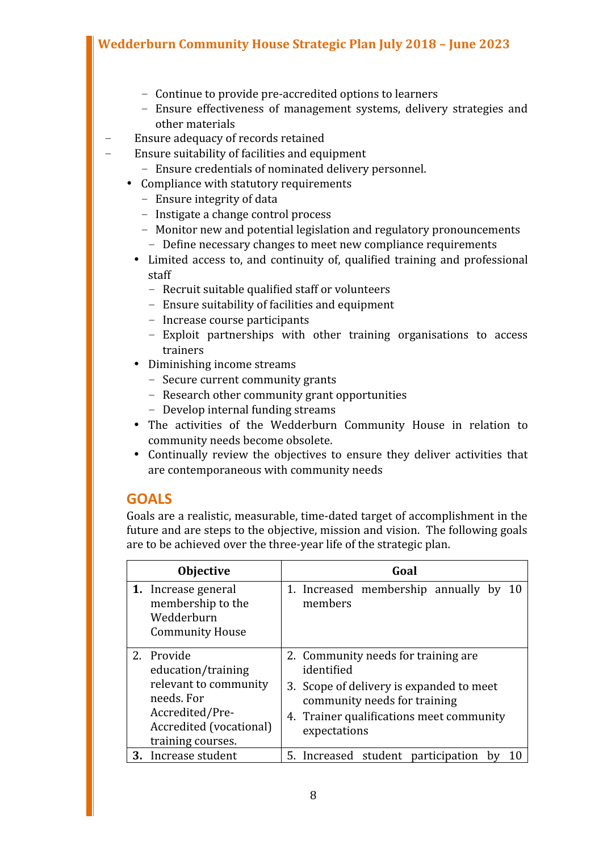- Continue to provide pre-accredited options to learners
- Ensure effectiveness of management systems, delivery strategies and other materials
- Ensure adequacy of records retained
- Ensure suitability of facilities and equipment
	- Ensure credentials of nominated delivery personnel.
	- Compliance with statutory requirements
		- Ensure integrity of data
		- Instigate a change control process
		- Monitor new and potential legislation and regulatory pronouncements
		- Define necessary changes to meet new compliance requirements
		- Limited access to, and continuity of, qualified training and professional staff
			- Recruit suitable qualified staff or volunteers
			- Ensure suitability of facilities and equipment
			- Increase course participants
			- Exploit partnerships with other training organisations to access trainers
		- Diminishing income streams
			- Secure current community grants
			- Research other community grant opportunities
			- Develop internal funding streams
		- The activities of the Wedderburn Community House in relation to community needs become obsolete.
		- Continually review the objectives to ensure they deliver activities that are contemporaneous with community needs

#### **GOALS**

Goals are a realistic, measurable, time-dated target of accomplishment in the future and are steps to the objective, mission and vision. The following goals are to be achieved over the three-year life of the strategic plan.

| <b>Objective</b>                                                                                                                           | Goal                                                                                                                                                                                       |
|--------------------------------------------------------------------------------------------------------------------------------------------|--------------------------------------------------------------------------------------------------------------------------------------------------------------------------------------------|
| 1. Increase general<br>membership to the<br>Wedderburn<br><b>Community House</b>                                                           | 1. Increased membership annually by<br>members                                                                                                                                             |
| 2. Provide<br>education/training<br>relevant to community<br>needs. For<br>Accredited/Pre-<br>Accredited (vocational)<br>training courses. | 2. Community needs for training are.<br>identified<br>3. Scope of delivery is expanded to meet<br>community needs for training<br>4. Trainer qualifications meet community<br>expectations |
| Increase student<br>3.                                                                                                                     | 5. Increased student participation<br>b٧                                                                                                                                                   |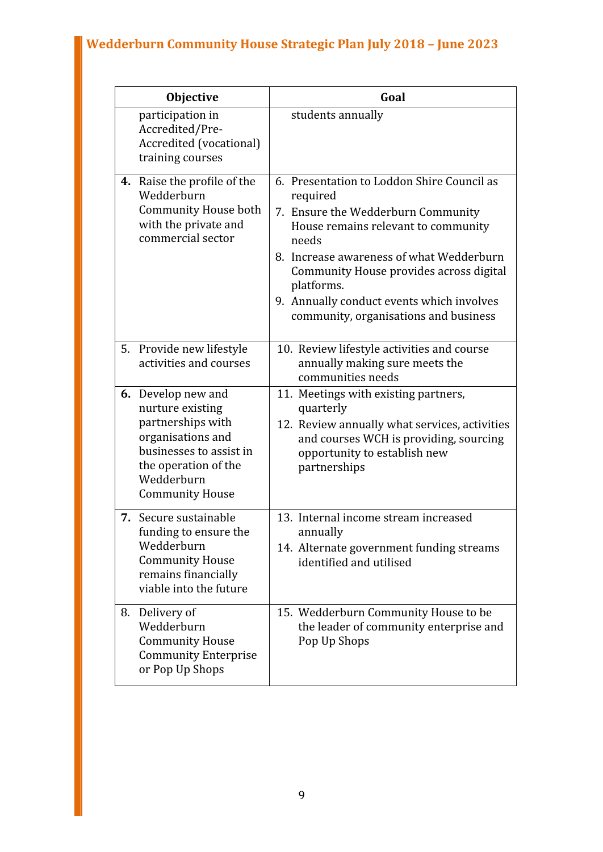|    | <b>Objective</b>                                                                                                                                                            | Goal                                                                                                                                                                                                                                                                                                                                    |
|----|-----------------------------------------------------------------------------------------------------------------------------------------------------------------------------|-----------------------------------------------------------------------------------------------------------------------------------------------------------------------------------------------------------------------------------------------------------------------------------------------------------------------------------------|
|    | participation in<br>Accredited/Pre-<br>Accredited (vocational)<br>training courses                                                                                          | students annually                                                                                                                                                                                                                                                                                                                       |
|    | 4. Raise the profile of the<br>Wedderburn<br>Community House both<br>with the private and<br>commercial sector                                                              | 6. Presentation to Loddon Shire Council as<br>required<br>7. Ensure the Wedderburn Community<br>House remains relevant to community<br>needs<br>8. Increase awareness of what Wedderburn<br>Community House provides across digital<br>platforms.<br>9. Annually conduct events which involves<br>community, organisations and business |
| 5. | Provide new lifestyle<br>activities and courses                                                                                                                             | 10. Review lifestyle activities and course<br>annually making sure meets the<br>communities needs                                                                                                                                                                                                                                       |
|    | 6. Develop new and<br>nurture existing<br>partnerships with<br>organisations and<br>businesses to assist in<br>the operation of the<br>Wedderburn<br><b>Community House</b> | 11. Meetings with existing partners,<br>quarterly<br>12. Review annually what services, activities<br>and courses WCH is providing, sourcing<br>opportunity to establish new<br>partnerships                                                                                                                                            |
| 7. | Secure sustainable<br>funding to ensure the<br>Wedderburn<br><b>Community House</b><br>remains financially<br>viable into the future                                        | 13. Internal income stream increased<br>annually<br>14. Alternate government funding streams<br>identified and utilised                                                                                                                                                                                                                 |
| 8. | Delivery of<br>Wedderburn<br><b>Community House</b><br><b>Community Enterprise</b><br>or Pop Up Shops                                                                       | 15. Wedderburn Community House to be<br>the leader of community enterprise and<br>Pop Up Shops                                                                                                                                                                                                                                          |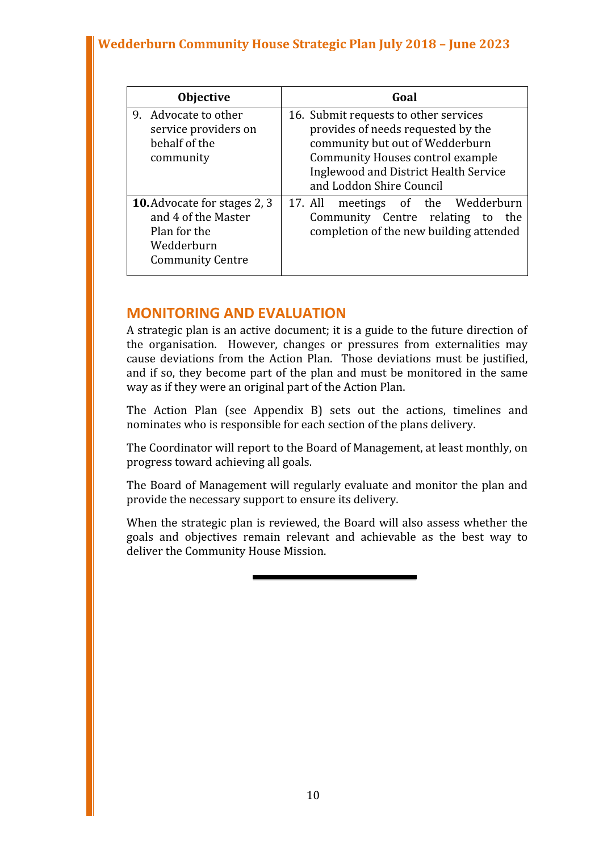| <b>Objective</b>                                                                                                    | Goal                                                                                                                                                                                                                           |
|---------------------------------------------------------------------------------------------------------------------|--------------------------------------------------------------------------------------------------------------------------------------------------------------------------------------------------------------------------------|
| Advocate to other<br>9.<br>service providers on<br>behalf of the<br>community                                       | 16. Submit requests to other services<br>provides of needs requested by the<br>community but out of Wedderburn<br><b>Community Houses control example</b><br>Inglewood and District Health Service<br>and Loddon Shire Council |
| <b>10.</b> Advocate for stages 2, 3<br>and 4 of the Master<br>Plan for the<br>Wedderburn<br><b>Community Centre</b> | meetings of the Wedderburn<br>17. All<br>Community Centre relating to<br>the<br>completion of the new building attended                                                                                                        |

#### **MONITORING AND EVALUATION**

A strategic plan is an active document; it is a guide to the future direction of the organisation. However, changes or pressures from externalities may cause deviations from the Action Plan. Those deviations must be justified, and if so, they become part of the plan and must be monitored in the same way as if they were an original part of the Action Plan.

The Action Plan (see Appendix B) sets out the actions, timelines and nominates who is responsible for each section of the plans delivery.

The Coordinator will report to the Board of Management, at least monthly, on progress toward achieving all goals.

The Board of Management will regularly evaluate and monitor the plan and provide the necessary support to ensure its delivery.

When the strategic plan is reviewed, the Board will also assess whether the goals and objectives remain relevant and achievable as the best way to deliver the Community House Mission.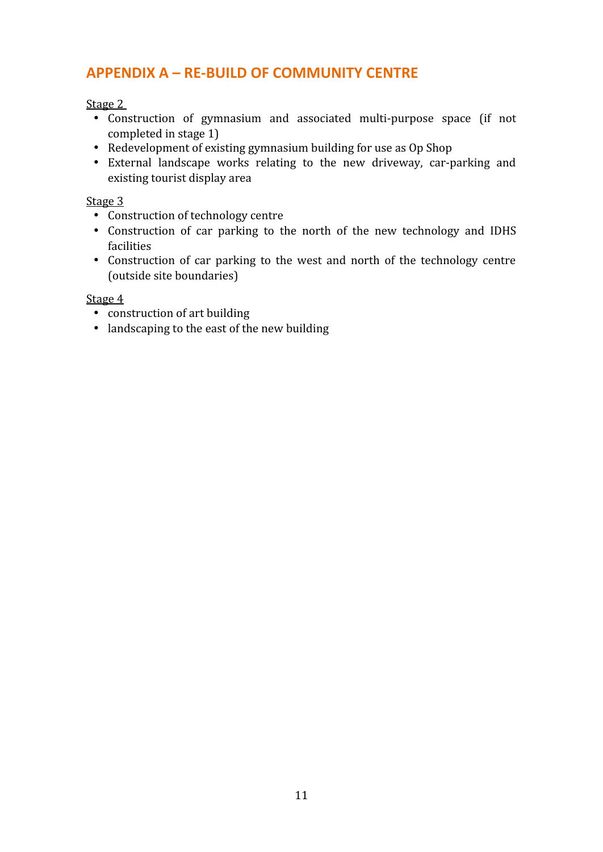#### **APPENDIX A – RE-BUILD OF COMMUNITY CENTRE**

Stage 2

- Construction of gymnasium and associated multi-purpose space (if not completed in stage 1)
- Redevelopment of existing gymnasium building for use as Op Shop
- External landscape works relating to the new driveway, car-parking and existing tourist display area

#### Stage 3

- Construction of technology centre
- Construction of car parking to the north of the new technology and IDHS facilities
- Construction of car parking to the west and north of the technology centre (outside site boundaries)

#### Stage 4

- construction of art building
- landscaping to the east of the new building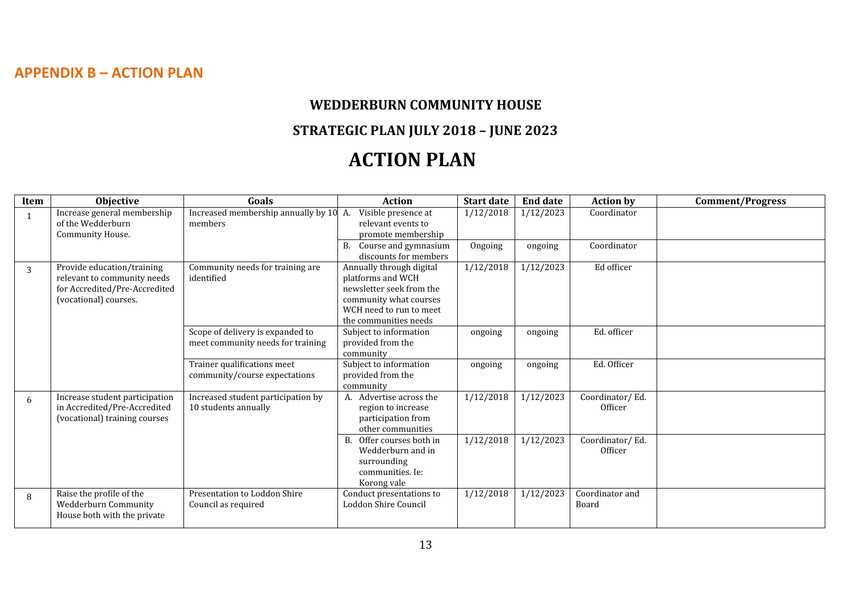#### **APPENDIX B – ACTION PLAN**

## **WEDDERBURN COMMUNITY HOUSE STRATEGIC PLAN JULY 2018 – JUNE 2023 ACTION PLAN**

| Item | Objective                                                                                                           | Goals                                                                 | <b>Action</b>                                                                                                                                           | <b>Start date</b> | <b>End date</b> | <b>Action by</b>           | <b>Comment/Progress</b> |
|------|---------------------------------------------------------------------------------------------------------------------|-----------------------------------------------------------------------|---------------------------------------------------------------------------------------------------------------------------------------------------------|-------------------|-----------------|----------------------------|-------------------------|
|      | Increase general membership<br>of the Wedderburn<br>Community House.                                                | Increased membership annually by $10 \, A$ .<br>members               | Visible presence at<br>relevant events to<br>promote membership                                                                                         | 1/12/2018         | 1/12/2023       | Coordinator                |                         |
|      |                                                                                                                     |                                                                       | Course and gymnasium<br>discounts for members                                                                                                           | Ongoing           | ongoing         | Coordinator                |                         |
| 3    | Provide education/training<br>relevant to community needs<br>for Accredited/Pre-Accredited<br>(vocational) courses. | Community needs for training are<br>identified                        | Annually through digital<br>platforms and WCH<br>newsletter seek from the<br>community what courses<br>WCH need to run to meet<br>the communities needs | 1/12/2018         | 1/12/2023       | Ed officer                 |                         |
|      |                                                                                                                     | Scope of delivery is expanded to<br>meet community needs for training | Subject to information<br>provided from the<br>community                                                                                                | ongoing           | ongoing         | Ed. officer                |                         |
|      |                                                                                                                     | Trainer qualifications meet<br>community/course expectations          | Subject to information<br>provided from the<br>community                                                                                                | ongoing           | ongoing         | Ed. Officer                |                         |
| 6    | Increase student participation<br>in Accredited/Pre-Accredited<br>(vocational) training courses                     | Increased student participation by<br>10 students annually            | A. Advertise across the<br>region to increase<br>participation from<br>other communities                                                                | 1/12/2018         | 1/12/2023       | Coordinator/Ed.<br>Officer |                         |
|      |                                                                                                                     |                                                                       | Offer courses both in<br>В.<br>Wedderburn and in<br>surrounding<br>communities. Ie:<br>Korong vale                                                      | 1/12/2018         | 1/12/2023       | Coordinator/Ed.<br>Officer |                         |
| 8    | Raise the profile of the<br>Wedderburn Community<br>House both with the private                                     | Presentation to Loddon Shire<br>Council as required                   | Conduct presentations to<br>Loddon Shire Council                                                                                                        | 1/12/2018         | 1/12/2023       | Coordinator and<br>Board   |                         |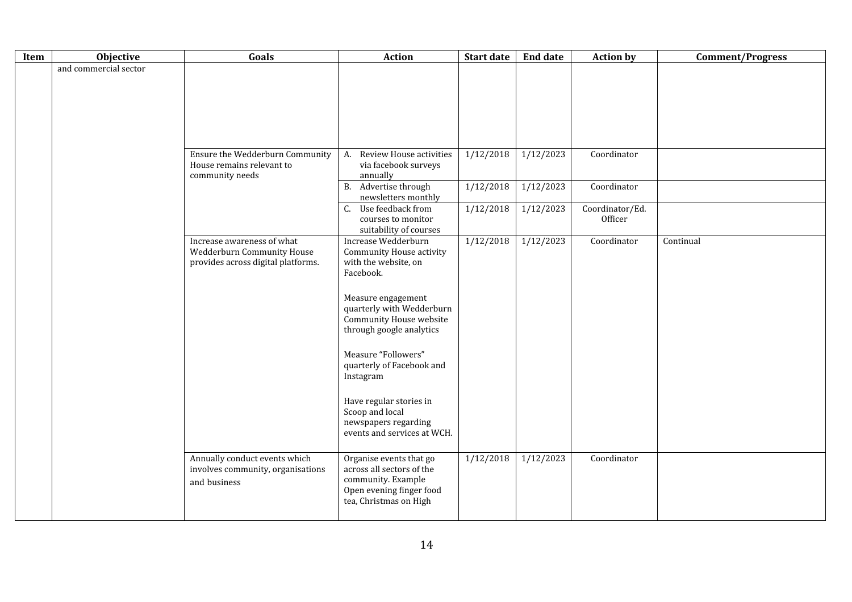| Item | Objective             | Goals                                                                                          | <b>Action</b>                                                                                                                    | <b>Start date</b> | <b>End date</b> | <b>Action by</b>           | <b>Comment/Progress</b> |
|------|-----------------------|------------------------------------------------------------------------------------------------|----------------------------------------------------------------------------------------------------------------------------------|-------------------|-----------------|----------------------------|-------------------------|
|      | and commercial sector |                                                                                                |                                                                                                                                  |                   |                 |                            |                         |
|      |                       | Ensure the Wedderburn Community<br>House remains relevant to<br>community needs                | Review House activities<br>A.<br>via facebook surveys<br>annually                                                                | 1/12/2018         | 1/12/2023       | Coordinator                |                         |
|      |                       |                                                                                                | Advertise through<br><b>B.</b><br>newsletters monthly                                                                            | 1/12/2018         | 1/12/2023       | Coordinator                |                         |
|      |                       |                                                                                                | Use feedback from<br>C.<br>courses to monitor<br>suitability of courses                                                          | 1/12/2018         | 1/12/2023       | Coordinator/Ed.<br>Officer |                         |
|      |                       | Increase awareness of what<br>Wedderburn Community House<br>provides across digital platforms. | Increase Wedderburn<br>Community House activity<br>with the website, on<br>Facebook.<br>Measure engagement                       | 1/12/2018         | 1/12/2023       | Coordinator                | Continual               |
|      |                       |                                                                                                | quarterly with Wedderburn<br>Community House website<br>through google analytics                                                 |                   |                 |                            |                         |
|      |                       |                                                                                                | Measure "Followers"<br>quarterly of Facebook and<br>Instagram                                                                    |                   |                 |                            |                         |
|      |                       |                                                                                                | Have regular stories in<br>Scoop and local<br>newspapers regarding<br>events and services at WCH.                                |                   |                 |                            |                         |
|      |                       | Annually conduct events which<br>involves community, organisations<br>and business             | Organise events that go<br>across all sectors of the<br>community. Example<br>Open evening finger food<br>tea, Christmas on High | 1/12/2018         | 1/12/2023       | Coordinator                |                         |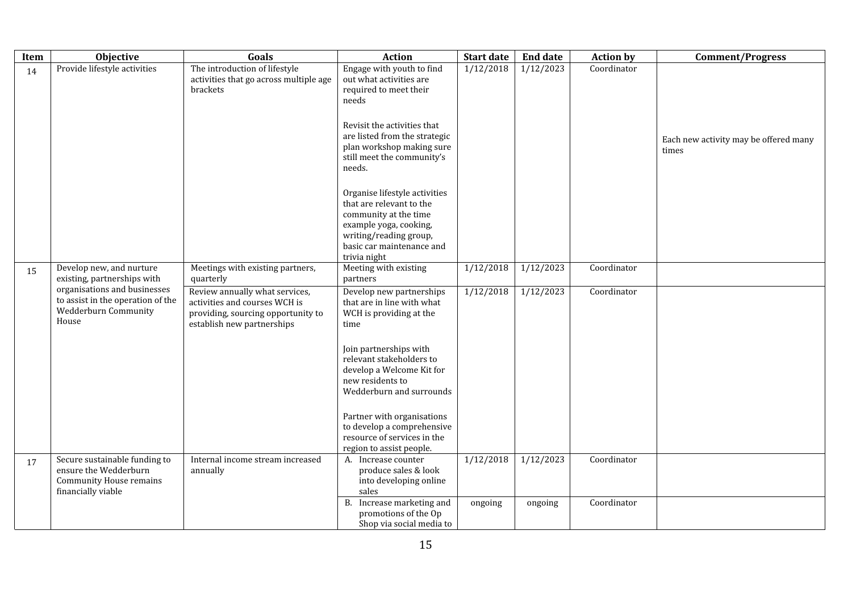| Item | <b>Objective</b>                                                                                               | Goals                                                                                                                               | <b>Action</b>                                                                                                                                                                                                                                                                                                                                       | <b>Start date</b> | <b>End date</b> | <b>Action by</b> | <b>Comment/Progress</b>                        |
|------|----------------------------------------------------------------------------------------------------------------|-------------------------------------------------------------------------------------------------------------------------------------|-----------------------------------------------------------------------------------------------------------------------------------------------------------------------------------------------------------------------------------------------------------------------------------------------------------------------------------------------------|-------------------|-----------------|------------------|------------------------------------------------|
| 14   | Provide lifestyle activities                                                                                   | The introduction of lifestyle<br>activities that go across multiple age<br>brackets                                                 | Engage with youth to find<br>out what activities are<br>required to meet their<br>needs<br>Revisit the activities that<br>are listed from the strategic<br>plan workshop making sure<br>still meet the community's<br>needs.                                                                                                                        | 1/12/2018         | 1/12/2023       | Coordinator      | Each new activity may be offered many<br>times |
|      |                                                                                                                |                                                                                                                                     | Organise lifestyle activities<br>that are relevant to the<br>community at the time<br>example yoga, cooking,<br>writing/reading group,<br>basic car maintenance and<br>trivia night                                                                                                                                                                 |                   |                 |                  |                                                |
| 15   | Develop new, and nurture<br>existing, partnerships with                                                        | Meetings with existing partners,<br>quarterly                                                                                       | Meeting with existing<br>partners                                                                                                                                                                                                                                                                                                                   | 1/12/2018         | 1/12/2023       | Coordinator      |                                                |
|      | organisations and businesses<br>to assist in the operation of the<br>Wedderburn Community<br>House             | Review annually what services,<br>activities and courses WCH is<br>providing, sourcing opportunity to<br>establish new partnerships | Develop new partnerships<br>that are in line with what<br>WCH is providing at the<br>time<br>Join partnerships with<br>relevant stakeholders to<br>develop a Welcome Kit for<br>new residents to<br>Wedderburn and surrounds<br>Partner with organisations<br>to develop a comprehensive<br>resource of services in the<br>region to assist people. | 1/12/2018         | 1/12/2023       | Coordinator      |                                                |
| 17   | Secure sustainable funding to<br>ensure the Wedderburn<br><b>Community House remains</b><br>financially viable | Internal income stream increased<br>annually                                                                                        | A. Increase counter<br>produce sales & look<br>into developing online<br>sales                                                                                                                                                                                                                                                                      | 1/12/2018         | 1/12/2023       | Coordinator      |                                                |
|      |                                                                                                                |                                                                                                                                     | B. Increase marketing and<br>promotions of the Op<br>Shop via social media to                                                                                                                                                                                                                                                                       | ongoing           | ongoing         | Coordinator      |                                                |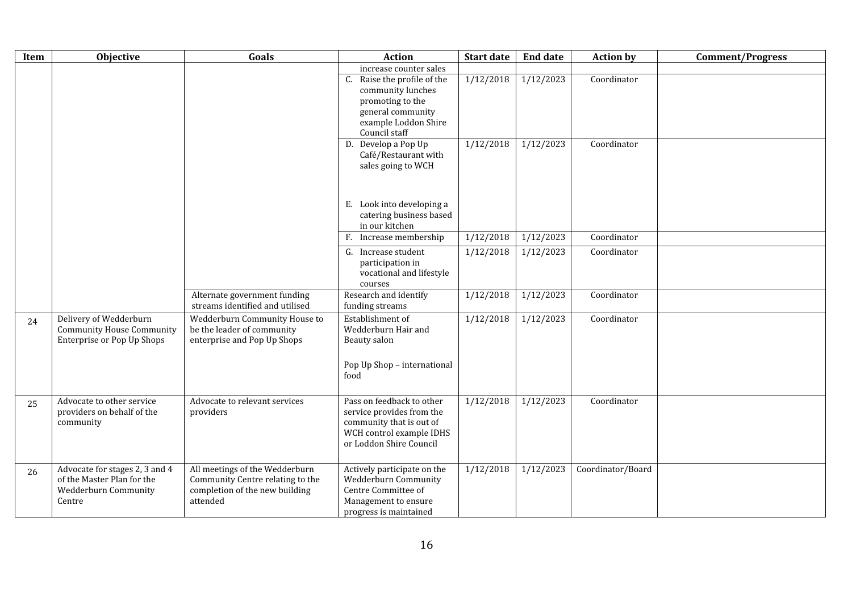| Item | Objective                                                                                      | Goals                                                                                                            | <b>Action</b>                                                                                                                                                   | <b>Start date</b> | <b>End date</b> | <b>Action by</b>  | <b>Comment/Progress</b> |
|------|------------------------------------------------------------------------------------------------|------------------------------------------------------------------------------------------------------------------|-----------------------------------------------------------------------------------------------------------------------------------------------------------------|-------------------|-----------------|-------------------|-------------------------|
|      |                                                                                                |                                                                                                                  | increase counter sales<br>Raise the profile of the<br>C.<br>community lunches<br>promoting to the<br>general community<br>example Loddon Shire<br>Council staff | 1/12/2018         | 1/12/2023       | Coordinator       |                         |
|      |                                                                                                |                                                                                                                  | D. Develop a Pop Up<br>Café/Restaurant with<br>sales going to WCH<br>E. Look into developing a                                                                  | 1/12/2018         | 1/12/2023       | Coordinator       |                         |
|      |                                                                                                |                                                                                                                  | catering business based<br>in our kitchen                                                                                                                       |                   |                 |                   |                         |
|      |                                                                                                |                                                                                                                  | Increase membership<br>F.                                                                                                                                       | 1/12/2018         | 1/12/2023       | Coordinator       |                         |
|      |                                                                                                |                                                                                                                  | G. Increase student<br>participation in<br>vocational and lifestyle<br>courses                                                                                  | 1/12/2018         | 1/12/2023       | Coordinator       |                         |
|      |                                                                                                | Alternate government funding<br>streams identified and utilised                                                  | Research and identify<br>funding streams                                                                                                                        | 1/12/2018         | 1/12/2023       | Coordinator       |                         |
| 24   | Delivery of Wedderburn<br><b>Community House Community</b><br>Enterprise or Pop Up Shops       | Wedderburn Community House to<br>be the leader of community<br>enterprise and Pop Up Shops                       | Establishment of<br>Wedderburn Hair and<br>Beauty salon                                                                                                         | 1/12/2018         | 1/12/2023       | Coordinator       |                         |
|      |                                                                                                |                                                                                                                  | Pop Up Shop - international<br>food                                                                                                                             |                   |                 |                   |                         |
| 25   | Advocate to other service<br>providers on behalf of the<br>community                           | Advocate to relevant services<br>providers                                                                       | Pass on feedback to other<br>service provides from the<br>community that is out of<br>WCH control example IDHS<br>or Loddon Shire Council                       | 1/12/2018         | 1/12/2023       | Coordinator       |                         |
| 26   | Advocate for stages 2, 3 and 4<br>of the Master Plan for the<br>Wedderburn Community<br>Centre | All meetings of the Wedderburn<br>Community Centre relating to the<br>completion of the new building<br>attended | Actively participate on the<br>Wedderburn Community<br>Centre Committee of<br>Management to ensure<br>progress is maintained                                    | 1/12/2018         | 1/12/2023       | Coordinator/Board |                         |